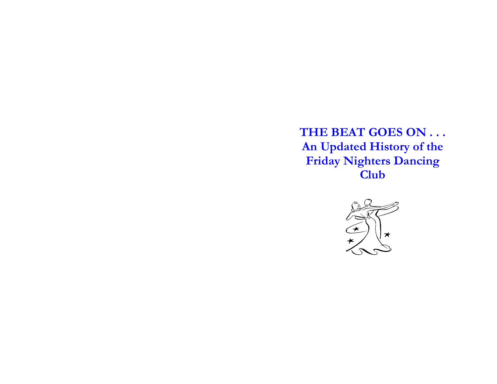**THE BEAT GOES ON . . . An Updated History of the Friday Nighters Dancing Club**

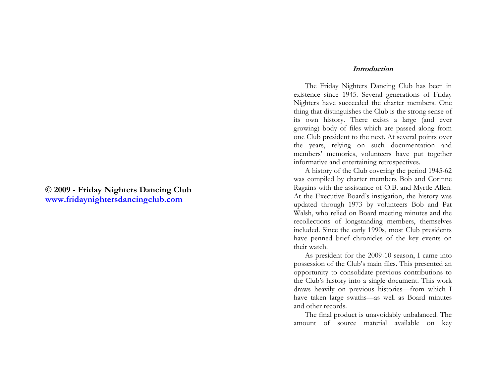# **© 2009 - Friday Nighters Dan cing Club www.frida yn[ightersdancingclub.com](http://www.fridaynightersdancingclub.com/)**

### **Introduction**

The Friday Nighters Dancing Club has been in existence since 1945. Several generations of Friday Nighters have succeeded the charter members. One thing that distinguishes the Club is the strong sense of its own history. There exists a large (and ever growing) body of files which are passed along from one Club president to the next. At several points over the years, relying on such documentation and members' memories, volunteers have put together informative and entertaining retrospectives.

A history of the Club covering the period 1945-62 was compiled by charter members Bob and Corinne Ragains with the assistance of O.B. and Myrtle Allen. At the Executive Board's instigation, the history was updated thr ough 1973 by volunteers Bob and Pat Walsh, who relied on Board meeting minutes and the recollections of longstanding members, themselves included. Since the early 1990s, most Club presidents have penned brief chronicles of the key events on their watch.

As president for the 2009-10 season, I came into possession of the Club's main files. This presented an opportunity to consolidate previous contributions to the Club's history into a single document. This work draws heavily on previous histories—from which I have taken large swaths—as well as Board minutes and other records.

The final product is unavoidably unbalanced. The amount of source material available on key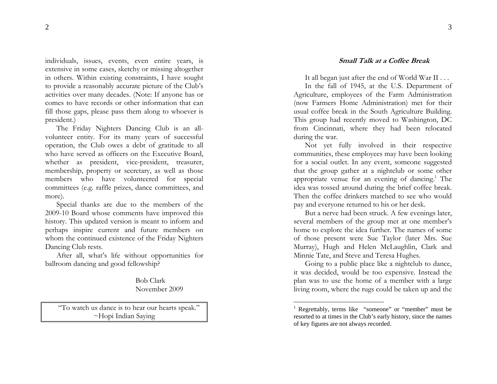individuals, issues, events, even entire years, is extensive in some cases, sketchy or missing altogether in others. Within existing constraints, I have sought to provide a reasonably accurate picture of the Club's activities over many decades. (Note: If anyone has or comes to have records or other information that can fill those gaps, please pass them along to whoever is president.)

The Friday Nighters Dancing Club is an allvolunteer entity. For its many years of successful operation, the Club owes a debt of gratitude to all who have served as officers on the Executive Board, whether as president, vice-president, treasurer, membership, property or secretary, as well as those members who have volunteered for special committees (e.g. raffle prizes, dance committees, and more).

Special thanks are due to the members of the 2009-10 Board whose comments have improved this history. This updated version is meant to inform and perhaps inspire current and future members on whom the continued existence of the Friday Nighters Dancing Club rests.

After all, what's life without opportunities for ballroom dancing and good fellowship?

> Bob Clark November 2009

"To watch us dance is to hear our hearts speak." ~Hopi Indian Saying

It all began just after the end of World War II . . .

In the fall of 1945, at the U.S. Department of Agriculture, employees of the Farm Administration (now Farmers Home Administration) met for their usual coffee break in the South Agriculture Building. This group had recently moved to Washington, DC from Cincinnati, where they had been relocated during the war.

Not yet fully involved in their respective communities, these employees may have been looking for a social outlet. In any event, someone suggested that the group gather at a nightclub or some other appropriate venue for an evening of dancing.<sup>1</sup> The idea was tossed around during the brief coffee break. Then the coffee drinkers matched to see who wouldpay and everyone returned to his or her desk.

But a nerve had been struck. A few evenings later, several members of the group met at one member's home to explore the idea further. The names of some of those present were Sue Taylor (later Mrs. Sue Murray), Hugh and Helen McLaughlin, Clark and Minnie Tate, and Steve and Teresa Hughes.

Going to a public place like a nightclub to dance, it was decided, would be too expensive. Instead the plan was to use the home of a member with a large living room, where the rugs could be taken up and the

<sup>&</sup>lt;sup>1</sup> Regrettably, terms like "someone" or "member" must be resorted to at times in the Club's early history, since the names of key figures are not always recorded.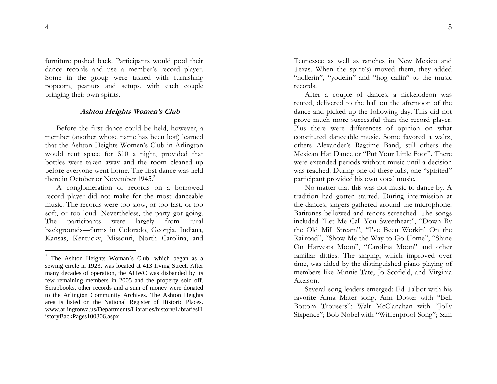furniture pushed back. Participants would pool their dance records and use a member's record player. Some in the group were tasked with furnishing popcorn, peanuts and setups, with each couple bringing their own spirits.

# **Ashton Heights Women's Club**

Before the first dance could be held, however, a member (an other whose name has been lost) learned that the Ashton Heights Women's Club in Arlington would rent space for \$10 a night, provided that bottles were taken away and the room cleaned up before everyone went home. The first dance was held there in October or November 1945.<sup>2</sup>

A conglomeration of records on a borrowed record player did not make for the most danceable music. The records were too slow, or too fast, or too soft, or too loud. Nevertheless, the party got going. The participants were largely from rural backgrounds—farms in Colorado, Georgia, India na, Kansas, Kentucky, Missouri, North Carolina, and

Tennessee as well as ranches in New Mexico and Texas. When the spirit(s) moved them, they added "hollerin", "yodelin" and "hog callin" to the music records.

After a couple of dances, a nickelodeon was rented, delivered to the hall on the afternoon of the dance and picked up the following day. This did not prove much more successful than the record player. Plus there were differences of opinion on what constituted danceable music. Some favored a waltz, others Alexander's Ragtime Band, still others the Mexican Hat Dance or "Put Your Little Foot". There were extended periods without music until a decision was reached. During one of these lulls, one "spirited" participant provided his own vocal music.

No matter that this was not music to dance by. A tradition had gotten started. During intermission at the dances, singers gathered around the microphone. Baritones bellowed and tenors screeched. The songs included "Let Me Call You Sweetheart", "Down By the Old Mill Stream", "I've Been Workin' On the Railroad", "Show Me the Way to Go Home", "Shine On Harvests Moon", "Carolina Moon" and other familiar ditties. The singing, which improved over time, was aided by the distinguished piano playing of members like Minnie Tate, Jo Scofield, and Virginia Axelson.

<sup>2</sup> The Ashton Heights Wo man's Club, which began as a sewing circle in 1923, was located at 413 Irving Street. After many decades of operation, the AHWC was disbanded by its few remaining members in 2005 and the property sold off. Scrapbooks, other records a nd a s um of money were donated to t he Arlington Com munity Archi ves. T he Ashton Heights area is listed on the National Register of Historic Places. www.arlingtonva.us/Departments/Libraries/history/LibrariesH istoryBackPages100306.aspx

Several song leaders emerged: Ed Talbot with his favorite Alma Mater song; Ann Doster with "Bell Bottom Trousers"; Walt McClanahan with "Jolly Sixpence"; Bob Nobel with "Wiffenproof Song"; Sam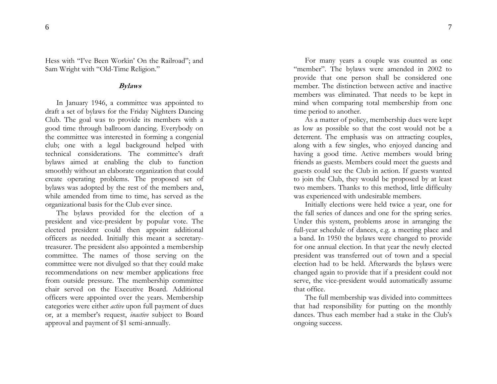Hess with "I've Been Workin' On the Railroad"; and Sam Wright with "Old-Time Religion."

# **Bylaws**

In January 1946, a com mittee was appointed to draft a set of bylaws for the Friday Nighters Danci ng Club. The goal was to provide its members with a good time through ballroom dancing. Everybody on the committee was interested in forming a congenial club; one with a legal background helped with technical considerations. The committee's draft bylaws aimed at ena bling the club to function smoothly without an elaborate organization that could create operating proble ms. The proposed set of bylaws was a dopted by the rest of the members a nd, while amended from time to time, has served as the organizational basis for the Club ever since.

The bylaws provided for the election of a president and vice-president by popular vote. The elected president could then appoint additional officers as needed. Initially this meant a secretarytreasurer. The president also appointed a members hip committee. The names of those serving on the committee were not divulged so that they could make recommendations on new member applications free from outside pressure. The membership committee chair served on the Executive Board. Additional officers were appointed over the years. Membership categories were either *active* upon full payment of dues or, at a member's request, *inactive* subject to Board approval and payment of \$1 semi-annually.

For many years a couple was counted as o ne "member". The bylaws were amended in 2002 to provide that one person shall be considered one member. The distinction between active and inactive members was eliminated. That needs to be kept in mind when comparing total membership from one time period to another.

As a matter of policy, membership dues were kept as low as p ossible so that the cost would not be a deterrent. T he emphasis was on attracting couples, along with a few singles, who enjoyed dancing and having a good time. Active members would bring friends as guests. Members could meet the guests and guests could see the Club in action. If guests wanted to join the Club, they would be proposed by at least two members. Thanks to this method, little difficulty was experienced with undesirable mem bers.

Initially elections were held twice a year, one for the fall series of dances and one for the spring series. Under this system, problems arose in arranging the full-year schedule of dances, e.g. a meeting place and a band. In 1950 the bylaws were changed to pro vide for one annual election. I n that year the newly elected president was transferred out of town and a special election had to be held. Afterwards the bylaws were changed again to provide that if a president could not serve, the vice-president would automatically ass ume that office.

The full membership was divided into committees that had responsibility for putting on the monthly dances. Thus each member had a stake in the Club's ongoing success.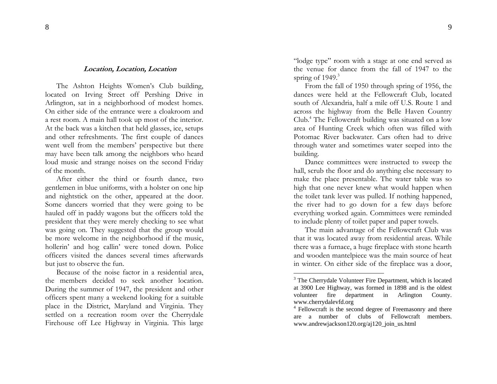#### **Location, Location, Location**

The Ashton Heights Women's Club building, located on Irving Street off Pershing Drive in Arlington, sat in a neighborhood of modest homes. On either side of the entrance were a cloakroom and a rest room. A main hall took up most of the interi or. At the back was a kitchen that held glasses, ice, setups and other refreshments. The first couple of dances went well from the members' perspective but there may have been talk among the neighbors who heard loud music and strange noises on the second Friday of the month.

After either the third or fourth dance[,](#page-5-0) two gentlemen in blue uniforms, with a holster on one hip and nightstick on the other, appeared at the door. Some dancers worried that they were going to be hauled off in paddy wagons but the officers told the president that they were merely checking to see what was going on. They suggested that the group would be more welcome in the neighborhood if the music, hollerin' and hog callin' were toned down. Police officers visited the dances several times afterwards but just to o bserve the fun.

Because of the noise factor in a residential area, the members decided to seek another location. During the s ummer of 1947, the president and other officers spent many a weekend looking for a suitable place in the District, Maryland and Virginia. They settled on a recreation room over the Cherrydale Firehouse off Lee Highway in Virginia. This large

"lodge type" room with a stage at one end served as the venue for dance from the fall of 1947 to the spring of 1949. 3

From the fall of 1950 through spring of 1956, the dances were held at the Fellowcraft Club, located south of Alexandria, half a mile off U.S. Route 1 and across the highway from the Belle Haven Country Club.4 The Fellowcraft building was situated on a low area of Hunting Creek which often was filled with Potomac River backwater. Cars often had to drive through water and sometimes water seeped into the building.

Dance co m mittees were instructed to sweep the hall, scrub the floor and do anything else necessary to make the place presentable. The water table was so high that one never knew what would happen when the toilet tan k lever was pulled. If nothing happened, the river had to go down for a few days before everything worked again. Committees were reminded to include plenty of toilet paper and paper towels.

<span id="page-5-0"></span>The main advantage of the Fellowcraft Club was that it was l ocated away from residential areas. While there was a furnace, a huge fireplace with stone hearth and wooden mantelpiece was the mai n source of heat in winter. On either side of the fireplace was a door,

<sup>&</sup>lt;sup>3</sup> The Cherrydale Volunteer Fire Department, which is located at 3900 Lee Highway, was formed i n 1898 and is t he ol dest volunteer fire ment i n Arlington Cou nty. www.c

www.cherrydalevfd.org<br><sup>4</sup> Fellowcraft is the second degree of Freemasonry and there are a number of clubs of Fellowcraft members.w w w.andrewjackson120.org/aj120\_join\_us.ht ml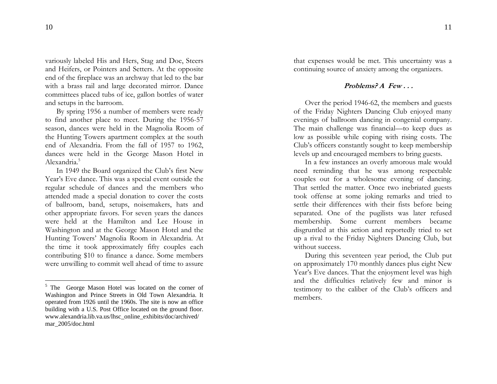variously labeled His and Hers, Stag and Doe, Steers and Heifers, or Pointers and Setters. At the opposite end of the fireplace was a n archway that led to the bar with a brass rail and large decorated mirror. Dance committees placed tubs of ice, gallon bottles of water and setups in the barroom.

By spring 1956 a number of members were ready to find another place to meet. During the 1956-57 season, dances were held in the Magnolia Room of the Hunting Towers apartment complex at the south end of Alexandria. From the fall of 1957 to 1962, dances were held in the George Mason Hotel in Alexandria.<sup>5</sup>

In 1949 the Board organized the Club's first New Year's Eve dance. This was a special [ev](#page-6-0)ent outside the regular schedule of dances and the members who attended made a special donation to cover the costs of ballroom, band, setups, noisemakers, hats and other appro priate favors. For seven years the dances were held at the Hamilton and Lee House in Washington and at the George Mason Hotel and the Hunting Towers' Magnolia Room in Alexandria. At the time it took approximately fifty couples each contributing \$10 to finance a dance. Some mem bers were unwilling to commit well ahead of time to assure

that expenses would be met. This uncertainty was a continuing source of anxiety among the organizers.

# **Problems? A Few . . .**

Over the period 1946-62, the members and guests of the Friday Nighters Dancing Club enjoyed many evenings of ballroom dancing in congenial company. The main challenge was financial—to keep dues as low as possible while coping with rising costs. The Club's officers constantly sought to keep membership levels up and encouraged members to bring guests.

<span id="page-6-0"></span>In a few instances an overly amorous male would need remin ding that he was among respectable couples out for a wholesome eveni ng of dancing. That settled the matter. Once two i nebriated guests took offense at some j oking remarks and tried to settle their differences with their fists before being separated. One of the pugilists was later refused membership. Some current members became disgruntled at this actio n and reportedly tried to set up a rival to the Friday Nighters Dancing Club, but without success.

During this seventeen year period, the Club put on approximately 170 monthly dances plus eight New Year's Eve dances. That the enjoyment level was high and the difficulties relatively few and minor is testimony to the caliber of the Club's officers and members.

<sup>&</sup>lt;sup>5</sup> The George Mason Hotel was located on the corner of Was hington a nd Pri nce Streets in Old Town Ale xandria. It operated fro m 1926 until the 1960s. The site is now an office building with a U.S. Post Office located on the ground floor. www.alexandria.lib.va.us/lhsc\_online\_exhibits/doc/archive d/ mar\_2 005/doc.html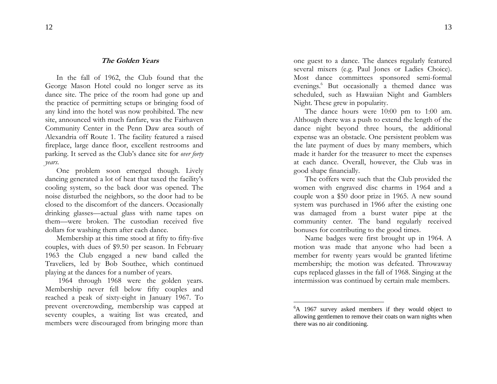#### **The Golden Years**

In the fall of 1962, the Club found that the George Mason Hotel could no longer serve as its dance site. The price of the room had gone up and the practice of permitting setups or bringing food of any kind into the hotel was now prohibited. The new site, announced with much fanfare, was the Fairhaven Community Center in the Penn Daw area south of Alexandria off Route 1. The facility featured a raised fireplace, large dance floor, excellent restrooms and parking. It served as the Club's dance site for *over forty years*.

One problem soon emerged though. Lively dancing generated a lot of heat that taxed the facility's cooling system, so the back door was opened. The noise disturbed the neighbors, so the door had to be closed to the discomfort of the dancers. Occasionally drinking glasses—actual glass with name tapes on them—were broken. The custodian received five dollars for washing them after each dance.

Membership at this time stood at fifty to fifty-five couples, with dues of \$9.50 per season. In February 1963 the Club engaged a new band called the Traveliers, led by Bob Southee, which conti nued playing at the dances for a number of years.

1964 through 1968 were the golden years. Membership never fell below fifty couples and reached a peak of sixty-eight in January 1967. To prevent overcrowding, membership was capped at seventy cou ples, a waiting list was created, a nd members were discouraged from bringing more than

one guest to a dance. T he dances regularly featured several mixers (e.g. Paul Jones or Ladies Choice). Most dance committees sponsored semi-formal evenings. 6 But occasionally a themed dance was scheduled, such as Hawaiian Night and Gamblers Night. These grew in popularity.

The dance hours were 10:00 pm to 1:00 am. Although there was a push to extend the length of the dance night beyond three hours, the additional expense was an obstacle. One persistent problem was the late payment of dues by many members, which made it harder for the treasurer to meet the expenses at each dance. Overall, however, the Club was in good shape financially.

The coffers were such that the Club provided the women with engraved disc charms i n 1964 and a couple won a \$50 door prize in 1965. A new sound system was purchased in 1966 after the existing one was damaged from a burst water pipe at the community center. The band regularly received bonuses for contributing to the good times.

Name badges were first brought up in 1964. A motion was made that anyone who had been a member for twenty years would be granted lifetime membership; the motion was defeated. Throwaway cups replaced glasses in the fall of 1968. Singing at the intermission was continued by certain male members.

<sup>&</sup>lt;sup>6</sup>A 1967 survey asked members if they would object to allo wing gentlemen to remove their coats on warn nights when there was no air conditioning.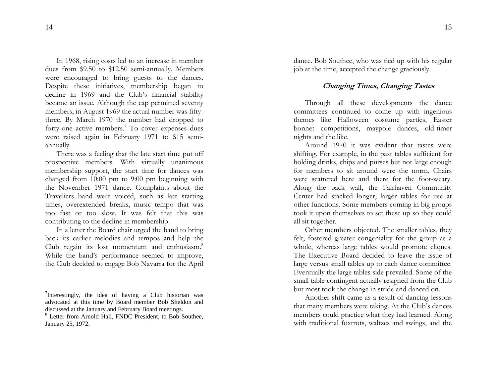In 1968, rising costs led to an increase in member dues from \$9.50 to \$12.50 semi-annually. Members were encouraged to bring guests to the da nces. Despite these initiatives, membership began to decline in 1969 and the Club's financial stability became an issue. Although the cap permitted seventy members, in August 1969 the actual n umber was fiftythree. By March 1970 the number had dropped to forty-one active members.<sup>7</sup> To cover expenses dues were raised again in February 1971 to \$15 semiannually.

There was a feeling that the late start time put off prospective members. With virtually unanimous membership support, the start time for dances was changed from 10:00 pm to 9:00 pm beginning with the November 1971 dance. Complaints about the Traveliers band were voiced, such as late starting times, overextended breaks, music tempo that was too fast or too slow. It was felt that this was contributing to the decline in membership.

In a letter the Board chair urged the band to bring back its earlier melodies and tempos and help the Club regain its lost momentum and enthusiasm.<sup>8</sup> While the band's performance seemed to improve, the Club decided to engage Bob Navarra for the April dance. Bob Southee, who was tied up with his regular job at the time, accepted the change graciously.

# **Changing Times, Changing Tastes**

Through all these developments the dance committees continued to come up with ingenious themes like Halloween costume parties, Easter bonnet competitions, maypole dances, old-timer nights and the like.

Around 1970 it was evident that tastes were shifting. For example, in the past tables sufficient for holding drinks, chips and purses but not large enough for members to sit aro und were the norm. C hairs were scattered here and there for the foot-weary. Along the back wall, the Fairhaven Community Center had stacked longer, larger tables for use at other functions. Some members coming in big groups took it upon themselves to set these up so they could all sit together.

Other members objected. The smaller tables, they felt, fostered greater con geniality for the group as a whole, whereas large tables would promote cliques. The Executive Board decided to leave the issue oflarge versus small tables up to each dance committee. Eventually the large tables side prevailed. Some of the small table contingent actually resigned from the Club but most too <sup>7</sup>Interestingly, the idea of having a Club historian was but most took the change in stride and danced on.

Another shift came as a result of dancing lessons that man y members were taking. At the Club's dances members could practice what they had learned. Along with traditional foxtrots, waltzes and swings, and the

advocated at this time by Board member Bob Sheldon and discussed at t he January a nd February Board meetings.

<sup>&</sup>lt;sup>8</sup> Letter from Arnold Hall, FNDC President, to Bob Southee, Jan uary 25, 1972.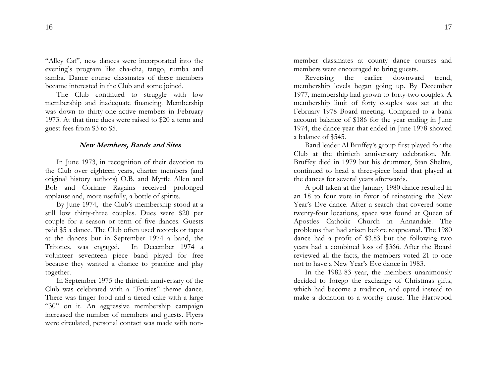"Alley Cat", new dances were incorporated into the evening's program like cha-cha, tan go, rumba and samba. Dance course classmates of these mem bers became interested in the Club and some joined.

The Club continued to struggle with low membership and inadequate financing. Membership was down to thirty-one active members in Februar y 1973. At that time dues were raised to \$20 a term and guest fees from \$3 to \$5.

#### **New Members, Bands and Sites**

In June 1973, in recognition of their devotion to the Club over eighteen years, charter members (and original history authors) O.B. and Myrtle Allen and Bob and Corinne Ragains received prolonged applause and, more usefully, a bottle of spirits.

By June 1974, the Club's membershi p stood at a still low thirty-three couples. Dues were \$20 per couple for a season or term of five dances. Guests paid \$5 a dance. The Club often used records or tapes at the dances but in September 1 974 a band, the Tritones, was engaged. In December 1974 a volunteer seventeen piece band played for free because they wanted a chance to practice and play together.

In September 1975 the thirtieth anniversary of the Club was celebrated with a "Forties" theme dance. There was finger food and a tiered cake with a large "30" on it. An aggressive membership campaign increased the number of members and guests. Flyers were circulated, personal contact was made with nonmember classmates at county dance courses and members were encouraged to bring guests.

Reversing the earlier downward trend, membership levels began going up. By December 1977, membership had grown to forty-two couples. A membership limit of forty couples was set at the February 1978 Board meeting. Compared to a bank account balance of \$186 for the year ending in June 1974, the dance year that ended in June 1978 showed a balance of \$545.

Band leader Al Bruffey's group first played for the Club at the thirtieth anniversary celebration. Mr. Bruffey died in 1979 b ut his drummer, Stan Sheltra, continued to head a three-piece band that played at the dances for several years afterwards.

A poll taken at the January 1980 dance resulted in an 18 to four vote in favor of reinstating the New Year's Eve dance. After a search that covered some twenty-four locations, space was found at Queen of Apostles Catholic Church in Annandale. The problems that had arisen before reappeared. The 1980 dance had a profit of \$3.83 but the following two years had a combined loss of \$366. After the B oard reviewed all the facts, the members voted 21 to one not to have a New Year's Eve dance in 1983.

In the 1982-83 year, the members unanimously decided to forego the exchange of Christmas gifts, which had become a tradition, and opted instead to make a donation to a worthy cause. The Hartwood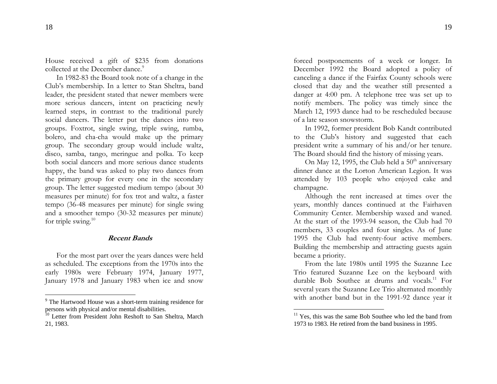House received a gift of \$235 from donations collected at the December dance.<sup>9</sup>

In 1982-83 the Board too k note of a change in the Club's membership. In a letter to Sta n Sheltra, band leader, the president stated that newer members were more serious dancers, i ntent on practicing newly learned steps, in contrast to the traditional purely social dancers. The letter put the dances into two groups. Foxtrot, single swing, triple swing, rum ba, bolero, and cha-cha would make up the primary group. The secondary group would include waltz, disco, samba, tango, meringue and polka. To keep both social dancers and more serious dance students happy, the band was asked to play two dances from the primary group for every one i n the secon dary group. The letter suggested medium tempo (about 30 measures per minute) for fox trot and waltz, a faster tempo (36-48 measures per minute) for single swing and a smoother tempo (30-32 measures per minute) for triple swing. $10$ 

# **Recent Bands**

For the most part over the years dances were held as scheduled. The exceptions from the 1970s into the early 1980s were February 1974, January 1 977, January 1978 and January 1983 when ice and snow

forced postponements of a week or longer. In December 1992 the Board adopted a policy of canceling a dance if the Fairfax County schools were closed that day and the weather still presented a danger at 4:00 pm. A telephone tree was set up to notify members. The policy was timely since the March 12, 1993 dance had to be rescheduled because of a late season snowstorm.

In 1992, former president Bob Kandt contributed to the Club's history and suggested that each president write a summary of his and/or her tenure. The Board should find the history of missing years.

On May 12, 1995, the Club held a  $50<sup>th</sup>$  anniversary dinner dance at the Lorton American Legion. It was attended b <sup>y</sup>103 people who enj oyed cake and champagne.

Although the rent increased at times over the years, monthly dances continued at the Fairhaven Community Center. Membership waxed and waned. At the start of the 1993-94 season, the Club had 70 members, 33 couples and four sin gles. As of June 1995 the Club had twenty-four active members. Building the membershi p and attracting guests again became a priority.

From the late 1980s until 1995 the Suzanne Lee Trio featured Suzanne Lee on the keyboard with durable Bob Southee at drums and vocals.<sup>11</sup> For several years the Suzanne Lee Trio alternated monthly  $\frac{1}{9}$ The Hartwood House was a short-term training residence for with another band but in the 1991-92 dance year it

persons with physical and/or mental disabilities.

<sup>&</sup>lt;sup>10</sup> Letter from President John Reshoft to San Sheltra, March 21, 1983.

<sup>&</sup>lt;sup>11</sup> Yes, this was the same Bob Southee who led the band from 1973 to 1983. He retired from the ban d business in 1995.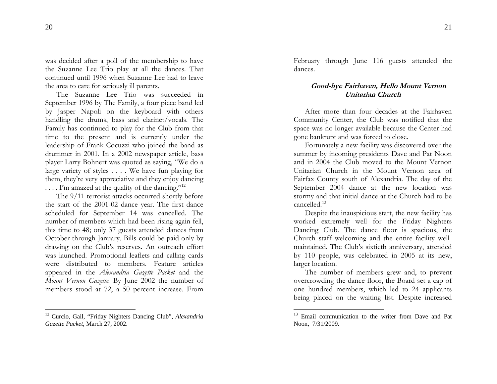was decided after a poll of the membership to have the Suzanne Lee Trio play at all the dances. That continued unti[l](#page-11-0) 1996 when Suzanne Lee had to leave the area to care for seriously ill parents.

The Suzanne Lee Trio was succeeded inSeptember 1996 by The Family, a four piece band led by Jasper Napoli on the keyboard with others hand[lin](#page-11-1)g the drums, bass and clarinet/vocals. The Family has continued to play for the Club from that time to the present and is currently under the leadership of Frank Cocuzzi who joined the band as drummer in 2001. In a 2002 newspaper article, bass player Larry Bohnert was quoted as saying, "We do a large variety of styles . . . . We have fun playing for them, they're very appreciative and they enjoy dancing  $\ldots$  I'm amazed at the quality of the dancing."<sup>12</sup>

The 9/11 terrorist attacks occurred shortly before the start of the 2001-02 dance year. The first dance scheduled for September 14 was cancelled. The number of members which had been rising again fell, this time to 48; only 37 guests attended dances from October through January. Bills could be paid only by drawing on the Club's reserves. An outreach effort was launched. Promotional leaflets and calling cards were distributed to members. Feature articles appeared in the *Alexandria Gazette Packet* and the *Mount Vernon Gazette.* By June 2002 the number of members stood at 72, a 50 percent increase. From

February through June 116 guests attended the dances.

# **Good-bye Fairhaven, Hello Mount Vernon Unitarian Church**

After more than four decades at the Fairhaven Community Center, the Club was notified that the space was no longer available because the Center had gone bankrupt and was forced to close.

Fortunately a new facility was discovered over the summer by incoming presidents Dave and Pat Noon and in 2004 the Club moved to the Mount VernonUnitarian Church in the Mount Vernon area of Fairfax County south of Alexandria. The day of the September 2004 dance at the new location was stormy and that initial dance at the Church had to be cancelled.<sup>13</sup>

<span id="page-11-1"></span><span id="page-11-0"></span>Despite the inauspicious start, the new facility has worked extremely well for the Friday Nighters Dancing Club. The dance floor is spacious, the Church staff welcoming and the entire facility wellmaintained. The Club's sixtieth anniversary, attended by 110 people, was celebrated in 2005 at its new, larger location.

The number of members grew and, to prevent overcrowding the dance floor, the Board set a cap of one hundred members, which led to 24 applicants being placed on the waiting list. Despite increased

<sup>12</sup> Curcio, Gail, "Friday Nighters Dancing Club", *Alexandria Gazette Packet*, March 27, 2002.

<sup>&</sup>lt;sup>13</sup> Email communication to the writer from Dave and Pat Noon, 7/31/2009.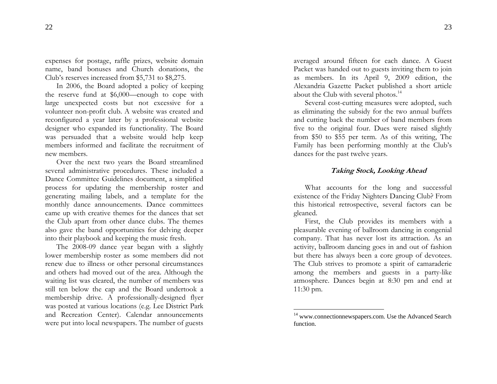expenses for postage, raffle prizes, website domain name, band bonuses and Church donations, the Club's reserves increased from \$5,731 to \$8,275.

In 2006, the Board adopted a policy of keeping the reserve fund at \$6,000—enough to cope with large unexpected costs but not excessive for a volunteer non-profit club. A website was created and reconfigured a year later by a professional website designer who expanded its functionality. The Board was persuaded that a website would help keep members informed and facilitate the recruitment of new members.

Over t[he](#page-12-0) next two years the Board streamlined several administrative procedures. T hese included a Dance C o m mittee Guidelines document, a simplified process for updating the membership roster and generating mailing labels, and a template for the monthly dance ann ouncements. Dance committees came up with creative themes for the dances that set the Club apart from other dance clubs. The themes also gave the band opportunities for delving deeper into their playbook and keeping the music fresh.

The 2008-09 dance year began with a slightly lower membership roster as some members did not renew due to illness or other personal circumstances and others had moved out of the area. Although the waiting list was cleared, the number of members was still ten below the cap and the Board undertook a membership drive. A professionally-designed flyer was posted at various locations (e.g. Lee District Park and Recreation Center). Calendar announcements were put into local newspapers. The number of guests

averaged around fifteen for each dance. A Guest Packet was handed out to guests inviting them to join as members. In its April 9, 2009 edition, the Alexandria Gazette Packet published a short article about the Club with several photos. $^{14}$ 

Several cost-cutting measures were adopted, such as eliminating the subsidy for the two annual buffets and cutting back the number of ban d members from five to the original four. Dues were raised slightly from \$50 to \$55 per term. As of this writing, The Family has been performing monthly at the Club's dances for the past twelve years.

# **Taking Stock, Looking Ahead**

What accou nts for the long and successful existence of the Friday Nighters Dancing Club? From this historical retrospective, several factors can be gleaned.

<span id="page-12-0"></span>First, the Club provides its mem bers with a pleasurable evening of ballroom dancing in congenial company. T hat has never lost its attraction. As an activity, ballroom dancing goes in and out of fashion but there has always been a core group of devotees. The Club strives to promote a spirit of camaraderie among the members and guests in a party-like atmosphere. Dances begin at 8:30 pm and end at 11:30 pm.

<sup>&</sup>lt;sup>14</sup> [www.connectionnewspapers.com](http://www.connectionnewspapers.com/). Use the Advanced Search function.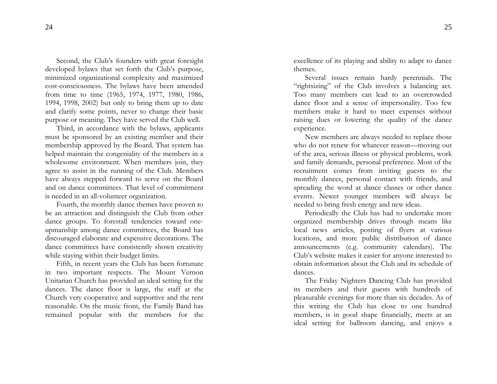Second, the Club's founders with great foresight developed bylaws that set forth the Club's purpose, minimized organizational complexity and maximized cost-consciousness. The bylaws have been a mended from time to time (1965, 1974, 1977, 1980, 1986, 1994, 1998, 2002) but only to bring them up to date and clarify some points, never to change their basic purpose or meaning. They have served the Club well.

Third, in accordance with the bylaws, applicants must be spo nsored by a n existing member and their membership approved by the Board. That system has helped maintain the congeniality of the members in a wholesome environment. When members join, they agree to assist in the running of the Club. Members have always stepped forward to serve on the Board and on dance com mittees. That level of commitment is needed in an all-volunteer organization.

Fourth, the monthly dance themes have proven to be an attraction and distinguish the Club from other dance groups. To forestall tendencies toward oneupmanship among dance committees, the Board has discouraged elaborate and expensive decorations. The dance committees have consistently shown creativity while staying within their budget limits.

Fifth, in recent years the Club has been fortunate in two important res pects. The Mount Vernon Unitarian Church has pro vided an ideal setting for the dances. The dance floor is large, the staff at the Church very cooperative and supportive and the rent reasonable. On the music front, the Family Band has remained popular with the members for t he excellence of its playing and ability to adapt to dance themes.

Several issues remain hardy perennials. The "rightsizing" of the Club involves a balancing act. Too many members can lead to a n overcrowded dance floor and a sense of impersonality. Too few members make it hard to meet expenses without raising dues or lowering the quality of the dance experience.

New members are always needed to replace those who do not renew for whatever reason—moving out of the area, serious illness or physical problems, work and family demands, personal preference. Most of the recruitment comes from inviting guests to the monthly dances, personal contact with friends, and spreading the word at dance classes or other dance events. Newer younger members will always be needed to bring fresh energy and new ideas.

Periodically the Club has had to undertake more organized membership drives through means like local news articles, posting of flyers at various locations, and more public distribution of dance announcements (e.g. community calendars). The Club's website makes it easier for anyone interested to obtain information about the Club and its schedule of dances.

The Friday Nighters Dancing Club has provided its members and their guests with hundreds of pleasurable evenings for more than six decades. As of this writing the Club has close to one hun dred members, is in good shape financially, meets at an ideal setting for ballroom dancing, and enjoys a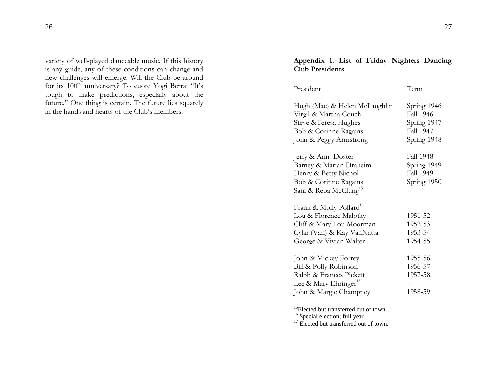variety of well-played danceable music. If this history is any guide, any of these conditions can change and new challenges will emerge. Will the Club be around for its  $100^{\text{th}}$  anniversary? To quote Yogi Berra: "It's tough to make predictions, especially about the future." One thing is certain. The future lies squarely in the hands and hearts of the Club's members.

# **Appendix 1. List of Friday Nighters Dancing Club Presidents**

| Hugh (Mac) & Helen McLaughlin                                                                                                                     | Spring 1946<br><b>Fall 1946</b>                             |
|---------------------------------------------------------------------------------------------------------------------------------------------------|-------------------------------------------------------------|
| Virgil & Martha Couch<br>Steve & Teresa Hughes<br>Bob & Corinne Ragains<br>John & Peggy Armstrong                                                 | Spring 1947<br>Fall 1947<br>Spring 1948                     |
| Jerry & Ann Doster<br>Barney & Marian Draheim<br>Henry & Betty Nichol<br>Bob & Corinne Ragains<br>Sam & Reba McClung <sup>15</sup>                | Fall 1948<br>Spring 1949<br><b>Fall 1949</b><br>Spring 1950 |
| Frank & Molly Pollard <sup>16</sup><br>Lou & Florence Malotky<br>Cliff & Mary Lou Moorman<br>Cylar (Van) & Kay VanNatta<br>George & Vivian Walter | 1951-52<br>1952-53<br>1953-54<br>1954-55                    |
| John & Mickey Forrey<br>Bill & Polly Robinson<br>Ralph & Frances Pickett<br>Lee & Mary Ehringer <sup>17</sup><br>John & Margie Champney           | 1955-56<br>1956-57<br>1957-58<br>1958-59                    |

<sup>15</sup>Elected but transferred out of town.

<sup>16</sup> Special election; full year.

 $17$  Elected but transferred out of town.